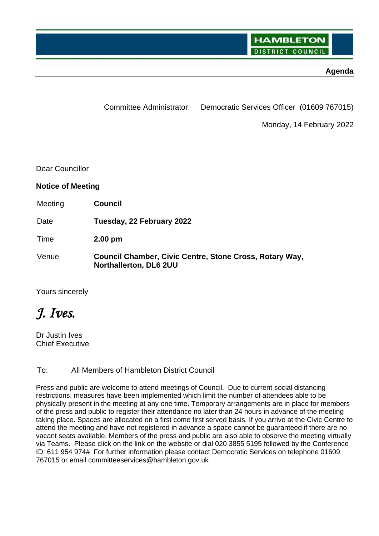#### **Agenda**

Committee Administrator: Democratic Services Officer (01609 767015)

Monday, 14 February 2022

Dear Councillor

#### **Notice of Meeting**

| Meeting | <b>Council</b>                                                                    |
|---------|-----------------------------------------------------------------------------------|
| Date    | Tuesday, 22 February 2022                                                         |
| Time    | $2.00 \text{ pm}$                                                                 |
| Venue   | Council Chamber, Civic Centre, Stone Cross, Rotary Way,<br>Northallerton, DL6 2UU |

Yours sincerely

# *J. Ives.*

Dr Justin Ives Chief Executive

#### To: All Members of Hambleton District Council

Press and public are welcome to attend meetings of Council. Due to current social distancing restrictions, measures have been implemented which limit the number of attendees able to be physically present in the meeting at any one time. Temporary arrangements are in place for members of the press and public to register their attendance no later than 24 hours in advance of the meeting taking place. Spaces are allocated on a first come first served basis. If you arrive at the Civic Centre to attend the meeting and have not registered in advance a space cannot be guaranteed if there are no vacant seats available. Members of the press and public are also able to observe the meeting virtually via Teams. Please click on the link on the website or dial 020 3855 5195 followed by the Conference ID: 611 954 974# For further information please contact Democratic Services on telephone 01609 767015 or email committeeservices@hambleton.gov.uk